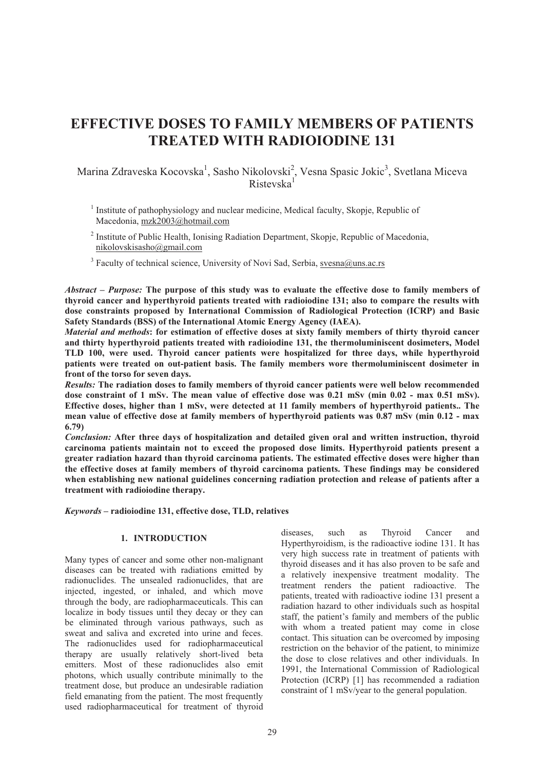# **EFFECTIVE DOSES TO FAMILY MEMBERS OF PATIENTS TREATED WITH RADIOIODINE 131**

Marina Zdraveska Kocovska<sup>1</sup>, Sasho Nikolovski<sup>2</sup>, Vesna Spasic Jokic<sup>3</sup>, Svetlana Miceva Ristevska<sup>1</sup>

- <sup>1</sup> Institute of pathophysiology and nuclear medicine, Medical faculty, Skopje, Republic of Macedonia, mzk2003@hotmail.com
- <sup>2</sup> Institute of Public Health, Ionising Radiation Department, Skopje, Republic of Macedonia, nikolovskisasho@gmail.com

<sup>3</sup> Faculty of technical science, University of Novi Sad, Serbia, svesna@uns.ac.rs

*Abstract* **–** *Purpose:* **The purpose of this study was to evaluate the effective dose to family members of thyroid cancer and hyperthyroid patients treated with radioiodine 131; also to compare the results with dose constraints proposed by International Commission of Radiological Protection (ICRP) and Basic Safety Standards (BSS) of the International Atomic Energy Agency (IAEA).** 

*Material and methods***: for estimation of effective doses at sixty family members of thirty thyroid cancer and thirty hyperthyroid patients treated with radioiodine 131, the thermoluminiscent dosimeters, Model TLD 100, were used. Thyroid cancer patients were hospitalized for three days, while hyperthyroid patients were treated on out-patient basis. The family members wore thermoluminiscent dosimeter in front of the torso for seven days.** 

*Results:* **The radiation doses to family members of thyroid cancer patients were well below recommended**  dose constraint of 1 mSv. The mean value of effective dose was 0.21 mSv (min 0.02 - max 0.51 mSv). **Effective doses, higher than 1 mSv, were detected at 11 family members of hyperthyroid patients.. The mean value of effective dose at family members of hyperthyroid patients was 0.87 mSv (min 0.12 - max 6.79)** 

*Conclusion:* **After three days of hospitalization and detailed given oral and written instruction, thyroid carcinoma patients maintain not to exceed the proposed dose limits. Hyperthyroid patients present a greater radiation hazard than thyroid carcinoma patients. The estimated effective doses were higher than the effective doses at family members of thyroid carcinoma patients. These findings may be considered when establishing new national guidelines concerning radiation protection and release of patients after a treatment with radioiodine therapy.** 

*Keywords* **– radioiodine 131, effective dose, TLD, relatives** 

## **1. INTRODUCTION**

Many types of cancer and some other non-malignant diseases can be treated with radiations emitted by radionuclides. The unsealed radionuclides, that are injected, ingested, or inhaled, and which move through the body, are radiopharmaceuticals. This can localize in body tissues until they decay or they can be eliminated through various pathways, such as sweat and saliva and excreted into urine and feces. The radionuclides used for radiopharmaceutical therapy are usually relatively short-lived beta emitters. Most of these radionuclides also emit photons, which usually contribute minimally to the treatment dose, but produce an undesirable radiation field emanating from the patient. The most frequently used radiopharmaceutical for treatment of thyroid diseases, such as Thyroid Cancer and Hyperthyroidism, is the radioactive iodine 131. It has very high success rate in treatment of patients with thyroid diseases and it has also proven to be safe and a relatively inexpensive treatment modality. The treatment renders the patient radioactive. The patients, treated with radioactive iodine 131 present a radiation hazard to other individuals such as hospital staff, the patient's family and members of the public with whom a treated patient may come in close contact. This situation can be overcomed by imposing restriction on the behavior of the patient, to minimize the dose to close relatives and other individuals. In 1991, the International Commission of Radiological Protection (ICRP) [1] has recommended a radiation constraint of 1 mSv/year to the general population.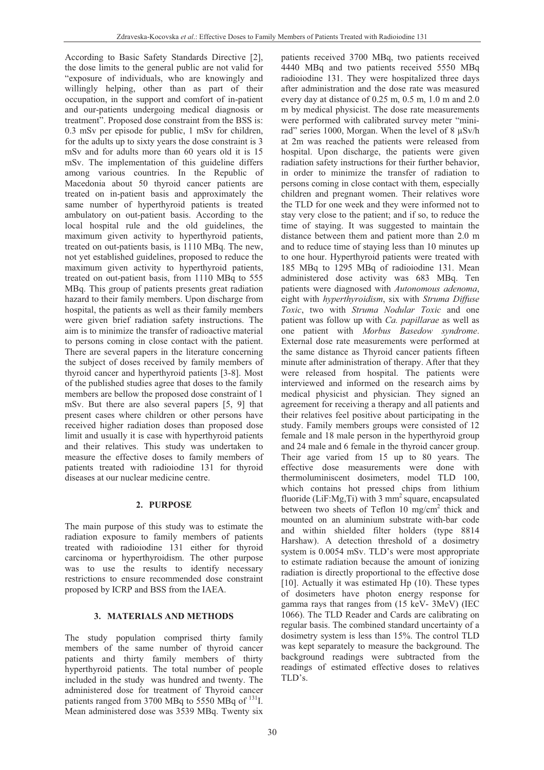According to Basic Safety Standards Directive [2], the dose limits to the general public are not valid for "exposure of individuals, who are knowingly and willingly helping, other than as part of their occupation, in the support and comfort of in-patient and our-patients undergoing medical diagnosis or treatment". Proposed dose constraint from the BSS is: 0.3 mSv per episode for public, 1 mSv for children, for the adults up to sixty years the dose constraint is 3 mSv and for adults more than 60 years old it is 15 mSv. The implementation of this guideline differs among various countries. In the Republic of Macedonia about 50 thyroid cancer patients are treated on in-patient basis and approximately the same number of hyperthyroid patients is treated ambulatory on out-patient basis. According to the local hospital rule and the old guidelines, the maximum given activity to hyperthyroid patients, treated on out-patients basis, is 1110 MBq. The new, not yet established guidelines, proposed to reduce the maximum given activity to hyperthyroid patients, treated on out-patient basis, from 1110 MBq to 555 MBq. This group of patients presents great radiation hazard to their family members. Upon discharge from hospital, the patients as well as their family members were given brief radiation safety instructions. The aim is to minimize the transfer of radioactive material to persons coming in close contact with the patient. There are several papers in the literature concerning the subject of doses received by family members of thyroid cancer and hyperthyroid patients [3-8]. Most of the published studies agree that doses to the family members are bellow the proposed dose constraint of 1 mSv. But there are also several papers [5, 9] that present cases where children or other persons have received higher radiation doses than proposed dose limit and usually it is case with hyperthyroid patients and their relatives. This study was undertaken to measure the effective doses to family members of patients treated with radioiodine 131 for thyroid diseases at our nuclear medicine centre.

## **2. PURPOSE**

The main purpose of this study was to estimate the radiation exposure to family members of patients treated with radioiodine 131 either for thyroid carcinoma or hyperthyroidism. The other purpose was to use the results to identify necessary restrictions to ensure recommended dose constraint proposed by ICRP and BSS from the IAEA.

#### **3. MATERIALS AND METHODS**

The study population comprised thirty family members of the same number of thyroid cancer patients and thirty family members of thirty hyperthyroid patients. The total number of people included in the study was hundred and twenty. The administered dose for treatment of Thyroid cancer patients ranged from 3700 MBq to 5550 MBq of  $^{131}$ I. Mean administered dose was 3539 MBq. Twenty six

patients received 3700 MBq, two patients received 4440 MBq and two patients received 5550 MBq radioiodine 131. They were hospitalized three days after administration and the dose rate was measured every day at distance of 0.25 m, 0.5 m, 1.0 m and 2.0 m by medical physicist. The dose rate measurements were performed with calibrated survey meter "minirad" series 1000, Morgan. When the level of 8 µSv/h at 2m was reached the patients were released from hospital. Upon discharge, the patients were given radiation safety instructions for their further behavior, in order to minimize the transfer of radiation to persons coming in close contact with them, especially children and pregnant women. Their relatives wore the TLD for one week and they were informed not to stay very close to the patient; and if so, to reduce the time of staying. It was suggested to maintain the distance between them and patient more than 2.0 m and to reduce time of staying less than 10 minutes up to one hour. Hyperthyroid patients were treated with 185 MBq to 1295 MBq of radioiodine 131. Mean administered dose activity was 683 MBq. Ten patients were diagnosed with *Autonomous adenoma*, eight with *hyperthyroidism*, six with *Struma Diffuse Toxic*, two with *Struma Nodular Toxic* and one patient was follow up with *Ca. papillarae* as well as one patient with *Morbus Basedow syndrome*. External dose rate measurements were performed at the same distance as Thyroid cancer patients fifteen minute after administration of therapy. After that they were released from hospital. The patients were interviewed and informed on the research aims by medical physicist and physician. They signed an agreement for receiving a therapy and all patients and their relatives feel positive about participating in the study. Family members groups were consisted of 12 female and 18 male person in the hyperthyroid group and 24 male and 6 female in the thyroid cancer group. Their age varied from 15 up to 80 years. The effective dose measurements were done with thermoluminiscent dosimeters, model TLD 100, which contains hot pressed chips from lithium fluoride (LiF:Mg,Ti) with 3  $mm<sup>2</sup>$  square, encapsulated between two sheets of Teflon 10 mg/cm<sup>2</sup> thick and mounted on an aluminium substrate with-bar code and within shielded filter holders (type 8814 Harshaw). A detection threshold of a dosimetry system is 0.0054 mSv. TLD's were most appropriate to estimate radiation because the amount of ionizing radiation is directly proportional to the effective dose [10]. Actually it was estimated Hp (10). These types of dosimeters have photon energy response for gamma rays that ranges from (15 keV- 3MeV) (IEC 1066). The TLD Reader and Cards are calibrating on regular basis. The combined standard uncertainty of a dosimetry system is less than 15%. The control TLD was kept separately to measure the background. The background readings were subtracted from the readings of estimated effective doses to relatives TLD's.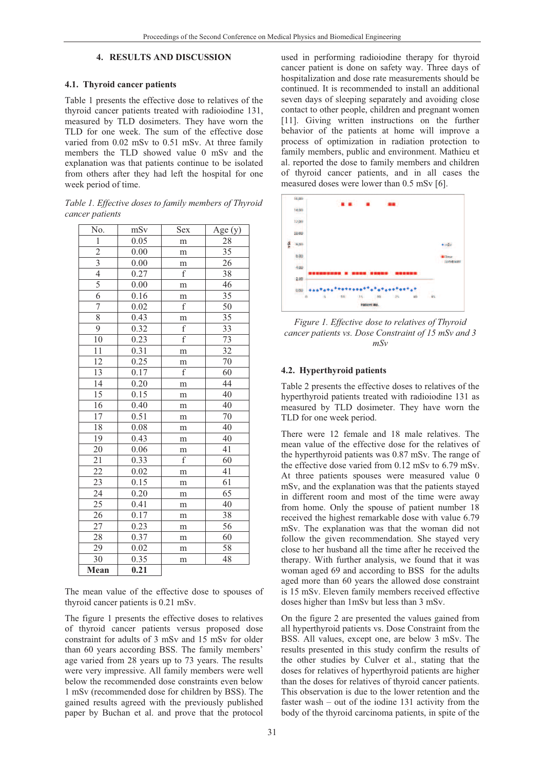#### **4. RESULTS AND DISCUSSION**

#### **4.1. Thyroid cancer patients**

Table 1 presents the effective dose to relatives of the thyroid cancer patients treated with radioiodine 131, measured by TLD dosimeters. They have worn the TLD for one week. The sum of the effective dose varied from 0.02 mSv to 0.51 mSv. At three family members the TLD showed value 0 mSv and the explanation was that patients continue to be isolated from others after they had left the hospital for one week period of time.

*Table 1. Effective doses to family members of Thyroid cancer patients*

| No.             | mSv  | Sex            | Age $(y)$       |
|-----------------|------|----------------|-----------------|
| $\mathbf{1}$    | 0.05 | m              | 28              |
|                 | 0.00 | m              | $\overline{35}$ |
| $\frac{2}{3}$   | 0.00 | m              | 26              |
|                 | 0.27 | $\rm f$        | $\overline{38}$ |
| $\overline{5}$  | 0.00 | m              | 46              |
| $\overline{6}$  | 0.16 | m              | 35              |
| 7               | 0.02 | $\overline{f}$ | 50              |
| $\overline{8}$  | 0.43 | m              | 35              |
| 9               | 0.32 | $\rm f$        | 33              |
| 10              | 0.23 | $\overline{f}$ | 73              |
| $\overline{11}$ | 0.31 | m              | $\overline{32}$ |
| 12              | 0.25 | m              | 70              |
| $\overline{13}$ | 0.17 | $\overline{f}$ | 60              |
| $\overline{14}$ | 0.20 | m              | 44              |
| $\overline{15}$ | 0.15 | m              | 40              |
| 16              | 0.40 | m              | 40              |
| $\overline{17}$ | 0.51 | m              | 70              |
| 18              | 0.08 | m              | 40              |
| 19              | 0.43 | m              | 40              |
| 20              | 0.06 | m              | 41              |
| 21              | 0.33 | $\rm f$        | 60              |
| $\overline{22}$ | 0.02 | m              | 41              |
| $\overline{23}$ | 0.15 | m              | $\overline{61}$ |
| 24              | 0.20 | m              | 65              |
| $\overline{25}$ | 0.41 | m              | 40              |
| 26              | 0.17 | m              | 38              |
| 27              | 0.23 | m              | 56              |
| 28              | 0.37 | m              | 60              |
| 29              | 0.02 | m              | 58              |
| 30              | 0.35 | m              | 48              |
| Mean            | 0.21 |                |                 |

The mean value of the effective dose to spouses of thyroid cancer patients is 0.21 mSv.

The figure 1 presents the effective doses to relatives of thyroid cancer patients versus proposed dose constraint for adults of 3 mSv and 15 mSv for older than 60 years according BSS. The family members' age varied from 28 years up to 73 years. The results were very impressive. All family members were well below the recommended dose constraints even below 1 mSv (recommended dose for children by BSS). The gained results agreed with the previously published paper by Buchan et al. and prove that the protocol

used in performing radioiodine therapy for thyroid cancer patient is done on safety way. Three days of hospitalization and dose rate measurements should be continued. It is recommended to install an additional seven days of sleeping separately and avoiding close contact to other people, children and pregnant women [11]. Giving written instructions on the further behavior of the patients at home will improve a process of optimization in radiation protection to family members, public and environment. Mathieu et al. reported the dose to family members and children of thyroid cancer patients, and in all cases the measured doses were lower than 0.5 mSv [6].



*Figure 1. Effective dose to relatives of Thyroid cancer patients vs. Dose Constraint of 15 mSv and 3 mSv*

#### **4.2. Hyperthyroid patients**

Table 2 presents the effective doses to relatives of the hyperthyroid patients treated with radioiodine 131 as measured by TLD dosimeter. They have worn the TLD for one week period.

There were 12 female and 18 male relatives. The mean value of the effective dose for the relatives of the hyperthyroid patients was 0.87 mSv. The range of the effective dose varied from 0.12 mSv to 6.79 mSv. At three patients spouses were measured value 0 mSv, and the explanation was that the patients stayed in different room and most of the time were away from home. Only the spouse of patient number 18 received the highest remarkable dose with value 6.79 mSv. The explanation was that the woman did not follow the given recommendation. She stayed very close to her husband all the time after he received the therapy. With further analysis, we found that it was woman aged 69 and according to BSS for the adults aged more than 60 years the allowed dose constraint is 15 mSv. Eleven family members received effective doses higher than 1mSv but less than 3 mSv.

On the figure 2 are presented the values gained from all hyperthyroid patients vs. Dose Constraint from the BSS. All values, except one, are below 3 mSv. The results presented in this study confirm the results of the other studies by Culver et al., stating that the doses for relatives of hyperthyroid patients are higher than the doses for relatives of thyroid cancer patients. This observation is due to the lower retention and the faster wash – out of the iodine 131 activity from the body of the thyroid carcinoma patients, in spite of the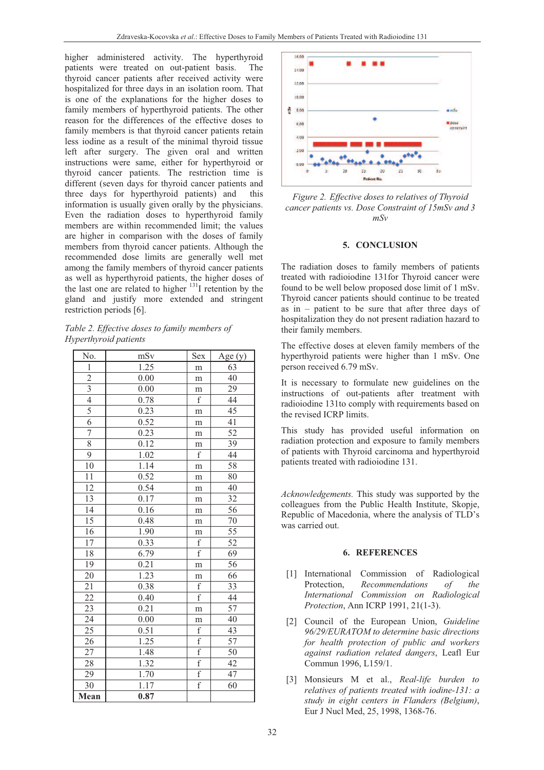higher administered activity. The hyperthyroid patients were treated on out-patient basis. The thyroid cancer patients after received activity were hospitalized for three days in an isolation room. That is one of the explanations for the higher doses to family members of hyperthyroid patients. The other reason for the differences of the effective doses to family members is that thyroid cancer patients retain less iodine as a result of the minimal thyroid tissue left after surgery. The given oral and written instructions were same, either for hyperthyroid or thyroid cancer patients. The restriction time is different (seven days for thyroid cancer patients and three days for hyperthyroid patients) and this information is usually given orally by the physicians. Even the radiation doses to hyperthyroid family members are within recommended limit; the values are higher in comparison with the doses of family members from thyroid cancer patients. Although the recommended dose limits are generally well met among the family members of thyroid cancer patients as well as hyperthyroid patients, the higher doses of the last one are related to higher  $131$  retention by the gland and justify more extended and stringent restriction periods [6].

*Table 2. Effective doses to family members of Hyperthyroid patients* 

| No.             | mSv  | Sex                     | Age $(y)$       |
|-----------------|------|-------------------------|-----------------|
| $\mathbf{1}$    | 1.25 | m                       | 63              |
| $\overline{2}$  | 0.00 | m                       | $\overline{40}$ |
| $\frac{3}{4}$   | 0.00 | m                       | 29              |
|                 | 0.78 | $\overline{f}$          | 44              |
| 5               | 0.23 | m                       | 45              |
| $\overline{6}$  | 0.52 | m                       | 41              |
| $\overline{7}$  | 0.23 | m                       | 52              |
| $\overline{8}$  | 0.12 | m                       | 39              |
| $\overline{9}$  | 1.02 | $\overline{f}$          | 44              |
| 10              | 1.14 | m                       | 58              |
| 11              | 0.52 | m                       | 80              |
| 12              | 0.54 | m                       | 40              |
| 13              | 0.17 | m                       | 32              |
| 14              | 0.16 | m                       | 56              |
| $\overline{15}$ | 0.48 | m                       | $\overline{70}$ |
| 16              | 1.90 | m                       | 55              |
| 17              | 0.33 | $\mathbf f$             | $\overline{52}$ |
| 18              | 6.79 | $\overline{\mathrm{f}}$ | 69              |
| 19              | 0.21 | m                       | 56              |
| 20              | 1.23 | m                       | 66              |
| 21              | 0.38 | $\mathbf f$             | 33              |
| 22              | 0.40 | $\overline{f}$          | 44              |
| 23              | 0.21 | m                       | $\overline{57}$ |
| $\overline{24}$ | 0.00 | m                       | 40              |
| 25              | 0.51 | $\mathbf f$             | 43              |
| 26              | 1.25 | $\overline{\mathrm{f}}$ | $\overline{57}$ |
| 27              | 1.48 | $\overline{f}$          | 50              |
| 28              | 1.32 | $\overline{f}$          | 42              |
| 29              | 1.70 | $\overline{\mathrm{f}}$ | 47              |
| 30              | 1.17 | $\overline{f}$          | 60              |
| Mean            | 0.87 |                         |                 |



*Figure 2. Effective doses to relatives of Thyroid cancer patients vs. Dose Constraint of 15mSv and 3 mSv*

### **5. CONCLUSION**

The radiation doses to family members of patients treated with radioiodine 131for Thyroid cancer were found to be well below proposed dose limit of 1 mSv. Thyroid cancer patients should continue to be treated as in – patient to be sure that after three days of hospitalization they do not present radiation hazard to their family members.

The effective doses at eleven family members of the hyperthyroid patients were higher than 1 mSv. One person received 6.79 mSv.

It is necessary to formulate new guidelines on the instructions of out-patients after treatment with radioiodine 131to comply with requirements based on the revised ICRP limits.

This study has provided useful information on radiation protection and exposure to family members of patients with Thyroid carcinoma and hyperthyroid patients treated with radioiodine 131.

*Acknowledgements.* This study was supported by the colleagues from the Public Health Institute, Skopje, Republic of Macedonia, where the analysis of TLD's was carried out.

#### **6. REFERENCES**

- [1] International Commission of Radiological Protection, *Recommendations of the International Commission on Radiological Protection*, Ann ICRP 1991, 21(1-3).
- [2] Council of the European Union, *Guideline 96/29/EURATOM to determine basic directions for health protection of public and workers against radiation related dangers*, Leafl Eur Commun 1996, L159/1.
- [3] Monsieurs M et al., *Real-life burden to relatives of patients treated with iodine-131: a study in eight centers in Flanders (Belgium)*, Eur J Nucl Med, 25, 1998, 1368-76.